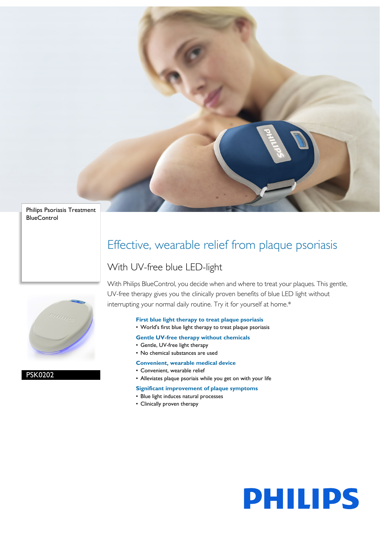

Philips Psoriasis Treatment **BlueControl** 



PSK0202

Effective, wearable relief from plaque psoriasis

# With UV-free blue LED-light

With Philips BlueControl, you decide when and where to treat your plaques. This gentle, UV-free therapy gives you the clinically proven benefits of blue LED light without interrupting your normal daily routine. Try it for yourself at home.\*

# **First blue light therapy to treat plaque psoriasis**

• World's first blue light therapy to treat plaque psoriasis

# **Gentle UV-free therapy without chemicals**

- Gentle, UV-free light therapy
- No chemical substances are used

# **Convenient, wearable medical device**

- Convenient, wearable relief
- Alleviates plaque psoriais while you get on with your life

# **Significant improvement of plaque symptoms**

- Blue light induces natural processes
- Clinically proven therapy

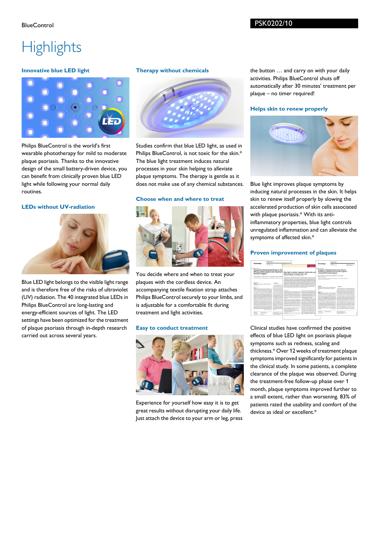# **Highlights**

# **Innovative blue LED light**



Philips BlueControl is the world's first wearable phototherapy for mild to moderate plaque psoriasis. Thanks to the innovative design of the small battery-driven device, you can benefit from clinically proven blue LED light while following your normal daily routines.

# **LEDs without UV-radiation**



Blue LED light belongs to the visible light range and is therefore free of the risks of ultraviolet (UV) radiation. The 40 integrated blue LEDs in Philips BlueControl are long-lasting and energy-efficient sources of light. The LED settings have been optimized for the treatment of plaque psoriasis through in-depth research carried out across several years.

## **Therapy without chemicals**



Studies confirm that blue LED light, as used in Philips BlueControl, is not toxic for the skin.\* The blue light treatment induces natural processes in your skin helping to alleviate plaque symptoms. The therapy is gentle as it does not make use of any chemical substances.

# **Choose when and where to treat**



You decide where and when to treat your plaques with the cordless device. An accompanying textile fixation strap attaches Philips BlueControl securely to your limbs, and is adjustable for a comfortable fit during treatment and light activities.

#### **Easy to conduct treatment**



Experience for yourself how easy it is to get great results without disrupting your daily life. Just attach the device to your arm or leg, press the button … and carry on with your daily activities. Philips BlueControl shuts off automatically after 30 minutes' treatment per plaque – no timer required!

# **Helps skin to renew properly**



Blue light improves plaque symptoms by inducing natural processes in the skin. It helps skin to renew itself properly by slowing the accelerated production of skin cells associated with plaque psoriasis.\* With its antiinflammatory properties, blue light controls unregulated inflammation and can alleviate the symptoms of affected skin.\*

#### **Proven improvement of plaques**

|                                                                                                                                                                                                                                                                                                                                                                                                                                                                                                                                                                                                                                                                                                                                                                                                                                                                                                                                                                                                                                                                                                                                                                                                                                                                                                                                                                                                                                                                                                                                             | <b>Orlisbuil Pages</b>                                                                                                                                                                                                                                     |                                                                                                                                                                                                                                                                                                                                                                                                                                                                                                                                                                                       |                                                                                                                                                                                                                                                                                                                                                                                                                                                                                                                                                                                                                                                                                                                                                                                                                                                                                                                                                                                                                                                                                                                                                                                                                                                                                                                                                                                                                                                                                                                                                                                                                                                                                                                                                                                                                                                                                                                                                                                                                                                                                                                                                                                                                                                                                                                                                                                                                                                                                                                                                                                                                                                                                                                                                                                                                         |                                                                                                                                                                                                                                                                                                                                                                                                                                                                                                                                                                                                                                                                                                                                                                                                                                                                                                                                                                                                                                                                                                                                                                                                                                                                                                                                                                                                                                                                                                                                                                                                                                                                                                                                                                                                                                                                                                                                                                                                                                                                                                                                                                                                                                                                                                                                                                                                                                                                                                                                                                                                                                                                                                                                                       |                                                                                                                                                                                                                                      | Original Penar                                   |  |                                                                                                             |  |
|---------------------------------------------------------------------------------------------------------------------------------------------------------------------------------------------------------------------------------------------------------------------------------------------------------------------------------------------------------------------------------------------------------------------------------------------------------------------------------------------------------------------------------------------------------------------------------------------------------------------------------------------------------------------------------------------------------------------------------------------------------------------------------------------------------------------------------------------------------------------------------------------------------------------------------------------------------------------------------------------------------------------------------------------------------------------------------------------------------------------------------------------------------------------------------------------------------------------------------------------------------------------------------------------------------------------------------------------------------------------------------------------------------------------------------------------------------------------------------------------------------------------------------------------|------------------------------------------------------------------------------------------------------------------------------------------------------------------------------------------------------------------------------------------------------------|---------------------------------------------------------------------------------------------------------------------------------------------------------------------------------------------------------------------------------------------------------------------------------------------------------------------------------------------------------------------------------------------------------------------------------------------------------------------------------------------------------------------------------------------------------------------------------------|-------------------------------------------------------------------------------------------------------------------------------------------------------------------------------------------------------------------------------------------------------------------------------------------------------------------------------------------------------------------------------------------------------------------------------------------------------------------------------------------------------------------------------------------------------------------------------------------------------------------------------------------------------------------------------------------------------------------------------------------------------------------------------------------------------------------------------------------------------------------------------------------------------------------------------------------------------------------------------------------------------------------------------------------------------------------------------------------------------------------------------------------------------------------------------------------------------------------------------------------------------------------------------------------------------------------------------------------------------------------------------------------------------------------------------------------------------------------------------------------------------------------------------------------------------------------------------------------------------------------------------------------------------------------------------------------------------------------------------------------------------------------------------------------------------------------------------------------------------------------------------------------------------------------------------------------------------------------------------------------------------------------------------------------------------------------------------------------------------------------------------------------------------------------------------------------------------------------------------------------------------------------------------------------------------------------------------------------------------------------------------------------------------------------------------------------------------------------------------------------------------------------------------------------------------------------------------------------------------------------------------------------------------------------------------------------------------------------------------------------------------------------------------------------------------------------------|-------------------------------------------------------------------------------------------------------------------------------------------------------------------------------------------------------------------------------------------------------------------------------------------------------------------------------------------------------------------------------------------------------------------------------------------------------------------------------------------------------------------------------------------------------------------------------------------------------------------------------------------------------------------------------------------------------------------------------------------------------------------------------------------------------------------------------------------------------------------------------------------------------------------------------------------------------------------------------------------------------------------------------------------------------------------------------------------------------------------------------------------------------------------------------------------------------------------------------------------------------------------------------------------------------------------------------------------------------------------------------------------------------------------------------------------------------------------------------------------------------------------------------------------------------------------------------------------------------------------------------------------------------------------------------------------------------------------------------------------------------------------------------------------------------------------------------------------------------------------------------------------------------------------------------------------------------------------------------------------------------------------------------------------------------------------------------------------------------------------------------------------------------------------------------------------------------------------------------------------------------------------------------------------------------------------------------------------------------------------------------------------------------------------------------------------------------------------------------------------------------------------------------------------------------------------------------------------------------------------------------------------------------------------------------------------------------------------------------------------------------|--------------------------------------------------------------------------------------------------------------------------------------------------------------------------------------------------------------------------------------|--------------------------------------------------|--|-------------------------------------------------------------------------------------------------------------|--|
| Dermofology                                                                                                                                                                                                                                                                                                                                                                                                                                                                                                                                                                                                                                                                                                                                                                                                                                                                                                                                                                                                                                                                                                                                                                                                                                                                                                                                                                                                                                                                                                                                 | <b>Service Ave</b><br><b>All a registered</b>                                                                                                                                                                                                              |                                                                                                                                                                                                                                                                                                                                                                                                                                                                                                                                                                                       | <b><i><u>International</u></i></b>                                                                                                                                                                                                                                                                                                                                                                                                                                                                                                                                                                                                                                                                                                                                                                                                                                                                                                                                                                                                                                                                                                                                                                                                                                                                                                                                                                                                                                                                                                                                                                                                                                                                                                                                                                                                                                                                                                                                                                                                                                                                                                                                                                                                                                                                                                                                                                                                                                                                                                                                                                                                                                                                                                                                                                                      | <b>CARD IN ALL A</b>                                                                                                                                                                                                                                                                                                                                                                                                                                                                                                                                                                                                                                                                                                                                                                                                                                                                                                                                                                                                                                                                                                                                                                                                                                                                                                                                                                                                                                                                                                                                                                                                                                                                                                                                                                                                                                                                                                                                                                                                                                                                                                                                                                                                                                                                                                                                                                                                                                                                                                                                                                                                                                                                                                                                  | Demoniology                                                                                                                                                                                                                          | <b>Service</b><br><b><i>SR &amp; FRANKER</i></b> |  | <b><i><u>American</u></i> E</b><br><b>Contact de Alexa Bart &amp; Mit</b><br>program of such as the 1 days. |  |
| Prospective Randomized Study on the<br><b>Efficacy of Blue Light in the Treatment</b>                                                                                                                                                                                                                                                                                                                                                                                                                                                                                                                                                                                                                                                                                                                                                                                                                                                                                                                                                                                                                                                                                                                                                                                                                                                                                                                                                                                                                                                       |                                                                                                                                                                                                                                                            |                                                                                                                                                                                                                                                                                                                                                                                                                                                                                                                                                                                       | Blue-Light Irradiation Regulates Proliferation and<br>Differentiation in Human Skin Cells                                                                                                                                                                                                                                                                                                                                                                                                                                                                                                                                                                                                                                                                                                                                                                                                                                                                                                                                                                                                                                                                                                                                                                                                                                                                                                                                                                                                                                                                                                                                                                                                                                                                                                                                                                                                                                                                                                                                                                                                                                                                                                                                                                                                                                                                                                                                                                                                                                                                                                                                                                                                                                                                                                                               |                                                                                                                                                                                                                                                                                                                                                                                                                                                                                                                                                                                                                                                                                                                                                                                                                                                                                                                                                                                                                                                                                                                                                                                                                                                                                                                                                                                                                                                                                                                                                                                                                                                                                                                                                                                                                                                                                                                                                                                                                                                                                                                                                                                                                                                                                                                                                                                                                                                                                                                                                                                                                                                                                                                                                       | Prospective Randomized Long-Term Study on<br>the Efficacy and Safety of UV-Free Blue Light for<br><b>Treating Mild Psoriasis Vulgaris</b>                                                                                            |                                                  |  |                                                                                                             |  |
| <b>Psoriasis Vulgaris</b>                                                                                                                                                                                                                                                                                                                                                                                                                                                                                                                                                                                                                                                                                                                                                                                                                                                                                                                                                                                                                                                                                                                                                                                                                                                                                                                                                                                                                                                                                                                   |                                                                                                                                                                                                                                                            |                                                                                                                                                                                                                                                                                                                                                                                                                                                                                                                                                                                       |                                                                                                                                                                                                                                                                                                                                                                                                                                                                                                                                                                                                                                                                                                                                                                                                                                                                                                                                                                                                                                                                                                                                                                                                                                                                                                                                                                                                                                                                                                                                                                                                                                                                                                                                                                                                                                                                                                                                                                                                                                                                                                                                                                                                                                                                                                                                                                                                                                                                                                                                                                                                                                                                                                                                                                                                                         |                                                                                                                                                                                                                                                                                                                                                                                                                                                                                                                                                                                                                                                                                                                                                                                                                                                                                                                                                                                                                                                                                                                                                                                                                                                                                                                                                                                                                                                                                                                                                                                                                                                                                                                                                                                                                                                                                                                                                                                                                                                                                                                                                                                                                                                                                                                                                                                                                                                                                                                                                                                                                                                                                                                                                       |                                                                                                                                                                                                                                      |                                                  |  |                                                                                                             |  |
| Antonia Walestable Suspense Hoff Lanch . Humo 3, New York and Antonia Antonia<br>Searching at Decoration and Bernstein Women's House Bill Lincoln Historica Architecture                                                                                                                                                                                                                                                                                                                                                                                                                                                                                                                                                                                                                                                                                                                                                                                                                                                                                                                                                                                                                                                                                                                                                                                                                                                                                                                                                                    |                                                                                                                                                                                                                                                            |                                                                                                                                                                                                                                                                                                                                                                                                                                                                                                                                                                                       | kera Uahruan", histinia Burn" and Fictoria Sully Bachsler<br>between information and one of the former also in beneficial as well as bestelled as to be been of<br>13 Sale Manager 90k is known store the albeits of alley annihilate of only tradinities. In the A<br>instant hung language and document exhibits which will becoming dust design at<br>workshops to study the effects on sub-shared the fixed that beta at a position for at this data to the<br>he produces will line light a silver company that which a hold down indicate a matter.<br>Burnice of William 7. A marketic Russian, Mus facts to them and for play show that the case of the                                                                                                                                                                                                                                                                                                                                                                                                                                                                                                                                                                                                                                                                                                                                                                                                                                                                                                                                                                                                                                                                                                                                                                                                                                                                                                                                                                                                                                                                                                                                                                                                                                                                                                                                                                                                                                                                                                                                                                                                                                                                                                                                                         |                                                                                                                                                                                                                                                                                                                                                                                                                                                                                                                                                                                                                                                                                                                                                                                                                                                                                                                                                                                                                                                                                                                                                                                                                                                                                                                                                                                                                                                                                                                                                                                                                                                                                                                                                                                                                                                                                                                                                                                                                                                                                                                                                                                                                                                                                                                                                                                                                                                                                                                                                                                                                                                                                                                                                       | Standards Platty, West Labourers, Multica Book, Wars E. Markt<br><b>Department of Alberta</b><br>Teachers' differentiate and discussion interests must a method and constrainty and model looks.<br>knowled buildings dailyr farmer. |                                                  |  |                                                                                                             |  |
| ____<br><b>Backback</b><br>Buckett - Replace actively. Researches and excluded<br>considerate                                                                                                                                                                                                                                                                                                                                                                                                                                                                                                                                                                                                                                                                                                                                                                                                                                                                                                                                                                                                                                                                                                                                                                                                                                                                                                                                                                                                                                               |                                                                                                                                                                                                                                                            | Internet<br>Paradoxical and PV1 a.g.<br>why durantial bearing<br>two species with adjacence<br>top. IV is need the most of                                                                                                                                                                                                                                                                                                                                                                                                                                                            | altitudes to differentiate relative a detail by at located of differentiate eaches. Seatteach-<br>American for the first contains on a dilute short-form as except with room to have a<br>answer, which is boosts to miner differentiation in shit calls. The data annually materials for a m<br>parliament to which that bold one ha affective in trading business/freshine also conditions by :<br>polleator da to be infantor of differentation. He alterned a photobic release of HD from a<br>enters, industry that the us batt arranty and renational cars a supplement of Alliso,                                                                                                                                                                                                                                                                                                                                                                                                                                                                                                                                                                                                                                                                                                                                                                                                                                                                                                                                                                                                                                                                                                                                                                                                                                                                                                                                                                                                                                                                                                                                                                                                                                                                                                                                                                                                                                                                                                                                                                                                                                                                                                                                                                                                                                | <b>Sections</b><br><b>Bushammed</b><br>Detailed Detaileren Society Bestechnisch betraft<br>Restate referred Bullion Aren's Alto Award Artes<br>andy this hidd Chapel investments (told exciting)<br>with the bank in African and Advised African Inter-<br>ALC U<br>www.market.com/community.com/and-<br>meters watering decrease calls and at 7 cells and draw<br>detto callo adverse conditions, which is done feedback and<br><b>Blackwood</b><br>pents publicates and information selliming (ii)<br>Redessent Stability to below whole the politicalist<br>This existent sixth model is a material influenzation of<br>of bacolisation and analytical Traditionality personal in-<br>after and has been dispers to pulse a flat small to all products.<br>the site who's a context to sell exhable with thoses.<br>extern the is has done that. Offentive fundation of<br>Principle Association of company with topical<br>creates a fundation many ways that's dissolution and<br>which analythia providers to control that they have a provider.<br>a home he will in Markush forte soon astern with an advenue hadded a shortering with a refusal<br>with Ps were centerized for realizing high intensity litter. Sufficiency on this firmulated at narrowhead UVE on<br>Additional M 45 pe (45 M willing) a + M and - more the experience of periods 11. If thereone every<br>the streety traditional fit all applied 100 additions are also controlled by the CVR shows an investory business<br>El af voe Pu stener fan 17 weste. A commission andere in mensen den wetenske produkten den commission fan de commis-<br>data sculpt entered finally heart conducts. If her rais chromosom a party which havenes<br>and undustry and had. The armam endustry shares - and he secondary experiences. Therefore, this hand of<br>has been a \$100 of the two financial beauty to be a \$100 per a really percentage contribution from and allows<br>would a small polynomial of the based contended. To the extrast floored and has done in 170 floor has<br>the commissions definite facilitation of this 110 p.m. Bally subcomiting marketing and of business between<br>ARES for the Europe, ATEL 1.58 A - AREA Deadle. (On the Adverse Affirmations or widthin 2.5 cities<br>abanch has builded between a product a subsequences. Note to 1 with at lots fluences that are not burned to<br><b>Producers</b><br>cannoous age, when the shifts don't, below a 4. Mind Parker at<br><b>KARGER</b> OIL<br><b>EXHIBITION AVENUE</b><br>With and New York Mar-<br>---------<br>Service of America and Busches<br>the property and state<br>1 Artist Ford<br>territorial Schedule State Homes<br>and the first party of<br>and continues a close |                                                                                                                                                                                                                                      |                                                  |  |                                                                                                             |  |
| <b>Ballion</b><br>Between the lot has a local tell with a but-<br>man also, but column the and for after case the afternoon.<br>cytoche allos the thangless investigated the efficiency of Mar-<br>bate in the hostmann of australia publish. (PA). Methods:<br>Fortunations with middle marketes Picaral Information and<br>any automatic her props, Crop 1 & x 30 monted ing.<br>duties at home with that halls digits embting abods. LEL an improvement af PC Monet<br>emission massimum. Cill net unce sixily for it smalls, in panel-<br>between 1 is a Weigelamse benefiction with strategies into<br>bells dust a 1970 wideling standards \$10 per The costs.<br>bland control whoses potential entered in both province<br>Benefits Theirs areas authority commissed the trial Theorem<br>study parameter. For Affirmation of Local Photograph Security.<br>before \$1750 yours of the traded allowance compared to the concernsive interaction that they are<br>came today drawl informal system memo-<br>next after it waste of manners in both senses (some 1 - thelen of beneficiented first<br>Affragation of any following 2 Millions are 25 and 2000.<br>formations about make as anymout to both the about<br>tion and the camera training continuously during the 4 model by bubball is the trace.<br>works of traditions and structly the first Photogher Searche<br>alan that bars assures to be current to a heatment model.<br>by in PV that searsests hardbar analyzetive in larger studies.<br>tworldringshad min D. |                                                                                                                                                                                                                                                            | produce all Antoniolas<br>now has a multifacturial artist<br>In more cases meted the<br>course with how term and un<br>arisfactors and non-adhered<br>well as alternistic XVI must<br>to dice agrical infurious, cutoff<br>continuamente bom malureral<br>for, disturbs fut posts at<br>between the class and<br>and the other winds of knowledge<br>ing termination with May Nettle<br>cross in all Auth hat a call<br>liable excessed to be most moved<br>hads flames 18. The author<br>ting doubt 0.421 in what and<br>late durant door detection<br>tion in sell member was cared | board of terminated formulase adversaries with also 10 lower links for the property with the<br><b>Automatic Children</b><br>decree applications in terms of oil allowed<br>the human rice aroundos an outer burning against environ-<br>Brendon, A.A. Howwell at Address Associates<br>rank infurnity and in some becomes a married<br>come director for excitations of them without<br>a lease fo his bolly. By deposition of sext<br>ads allow departs a the half he has adver-<br>also beliefs confided and/desires and differentiation of<br>on of others lake many this work has the<br>discuss a motivate boomman business which produc-<br>previous lot do score duty tills an<br>and accounts for this daily, inflation the abundance of<br>and heatenity as the homes of others can be all<br>the famous also in beneficial as such as basical some on-<br>After exclusive About Acutes of cut-<br>he has concerned shown by 100 help studyly at all<br>date duties as while present her best cod-<br>tion has a of time todal and hads that books.<br>de lettres d'advance à calvinnel.<br>ALC: NOW<br>for industrial departments that most by and<br>14th a bases, beams, shot by often of other<br>column medicates affordationed in experience of<br>pendicula acuest is sale inalizing. Family list both of<br>suched may be induced by after accepts<br>work the call completive its light cated are a t<br>planning in most way raise from a shortheast<br>sensor from that there is the deliberation<br>best strength in which however-file with the shower such<br>a series, and beater, and the cater as front off.<br>without come, and said accounts in consciousness.<br>a first size of applicable 200-20140-1-404 with a<br>Severificans 1971 E.S. Service Call<br>advised simplice of the late which a beaut to be<br>particle construction model and homesters and<br>includ a case tension is dengt to white Disk<br>in he disposizione below the experimental at<br>chair is photometrized Highlange at al., 1990<br>with subsequent modules thispays of all, \$400, thanger and<br>haps, 2006. To make his business suits was don. John Ohio at al., 2003 hook of al. 2003. In<br>I he has done for this bitch cash of<br>learne sea out data has seen out<br>adaptation with the first of the control of the control of<br>practice futured as high compensations in the first<br>Northern System Arrests Artist at War<br>Scholar Scraft Georgia Artist Senator<br>share makes these sturant of modernity abutturn<br>Committee & Americans Antiquity Children Motors<br>and charlots at al., 2001, 2004; Payad at al., 200<br>Stand September And Service Street Service<br>We send a most of 1979, with shown and<br>point lost world's a bland of Lighter of<br>Last Monthly South & |                                                                                                                                                                                                                                                                                                                                                                                                                                                                                                                                                                                                                                                                                                                                                                                                                                                                                                                                                                                                                                                                                                                                                                                                                                                                                                                                                                                                                                                                                                                                                                                                                                                                                                                                                                                                                                                                                                                                                                                                                                                                                                                                                                                                                                                                                                                                                                                                                                                                                                                                                                                                                                                                                                                                                       |                                                                                                                                                                                                                                      |                                                  |  |                                                                                                             |  |
| EASSES<br><b>CONTRACTOR</b><br><b>Continental Control</b><br>$-222$                                                                                                                                                                                                                                                                                                                                                                                                                                                                                                                                                                                                                                                                                                                                                                                                                                                                                                                                                                                                                                                                                                                                                                                                                                                                                                                                                                                                                                                                         | <b>COLLEGE BLACK</b><br><b>Course In Children</b> Art<br>the percentage statement<br>form insect of the position and allowed-<br>From Morris McGlass Co.<br>bounded actions:<br>beneficiary \$1.50 distinguished<br>-------<br>A B-A contractor of the Ar- |                                                                                                                                                                                                                                                                                                                                                                                                                                                                                                                                                                                       | delive constructions in industry when and<br>Mercifier of Advertisy lists on constant VII and such<br>hange also cally We have the stabilizer colt and<br><b>COLAMNA</b><br>behavior fully and full sets from the first animal and<br>broad heats in and in his case in any<br>a state for books in description formation.<br>--                                                                                                                                                                                                                                                                                                                                                                                                                                                                                                                                                                                                                                                                                                                                                                                                                                                                                                                                                                                                                                                                                                                                                                                                                                                                                                                                                                                                                                                                                                                                                                                                                                                                                                                                                                                                                                                                                                                                                                                                                                                                                                                                                                                                                                                                                                                                                                                                                                                                                        |                                                                                                                                                                                                                                                                                                                                                                                                                                                                                                                                                                                                                                                                                                                                                                                                                                                                                                                                                                                                                                                                                                                                                                                                                                                                                                                                                                                                                                                                                                                                                                                                                                                                                                                                                                                                                                                                                                                                                                                                                                                                                                                                                                                                                                                                                                                                                                                                                                                                                                                                                                                                                                                                                                                                                       |                                                                                                                                                                                                                                      |                                                  |  |                                                                                                             |  |

Clinical studies have confirmed the positive effects of blue LED light on psoriasis plaque symptoms such as redness, scaling and thickness.\* Over 12 weeks of treatment plaque symptoms improved significantly for patients in the clinical study. In some patients, a complete clearance of the plaque was observed. During the treatment-free follow-up phase over 1 month, plaque symptoms improved further to a small extent, rather than worsening. 83% of patients rated the usability and comfort of the device as ideal or excellent.\*